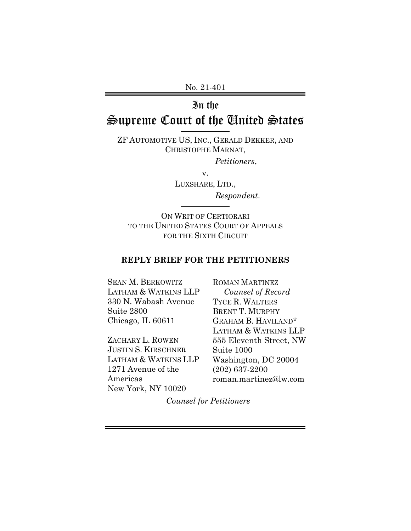No. 21-401

# In the

# Supreme Court of the United States

ZF AUTOMOTIVE US, INC., GERALD DEKKER, AND CHRISTOPHE MARNAT,

*Petitioners*,

v.

LUXSHARE, LTD., *Respondent*.

ON WRIT OF CERTIORARI TO THE UNITED STATES COURT OF APPEALS FOR THE SIXTH CIRCUIT

## **REPLY BRIEF FOR THE PETITIONERS**

l

SEAN M. BERKOWITZ LATHAM & WATKINS LLP 330 N. Wabash Avenue Suite 2800 Chicago, IL 60611

ZACHARY L. ROWEN JUSTIN S. KIRSCHNER LATHAM & WATKINS LLP 1271 Avenue of the Americas New York, NY 10020

ROMAN MARTINEZ *Counsel of Record* TYCE R. WALTERS BRENT T. MURPHY GRAHAM B. HAVILAND\* LATHAM & WATKINS LLP 555 Eleventh Street, NW Suite 1000 Washington, DC 20004 (202) 637-2200 roman.martinez@lw.com

*Counsel for Petitioners*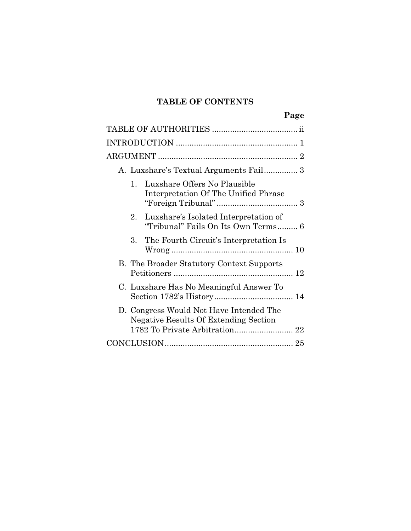## **TABLE OF CONTENTS**

**Page** 

| A. Luxshare's Textual Arguments Fail 3                                                |
|---------------------------------------------------------------------------------------|
| Luxshare Offers No Plausible<br>$1_{-}$<br>Interpretation Of The Unified Phrase       |
| Luxshare's Isolated Interpretation of<br>$2^-$<br>"Tribunal" Fails On Its Own Terms 6 |
| The Fourth Circuit's Interpretation Is<br>$3_{-}$                                     |
| B. The Broader Statutory Context Supports                                             |
| C. Luxshare Has No Meaningful Answer To                                               |
| D. Congress Would Not Have Intended The<br>Negative Results Of Extending Section      |
|                                                                                       |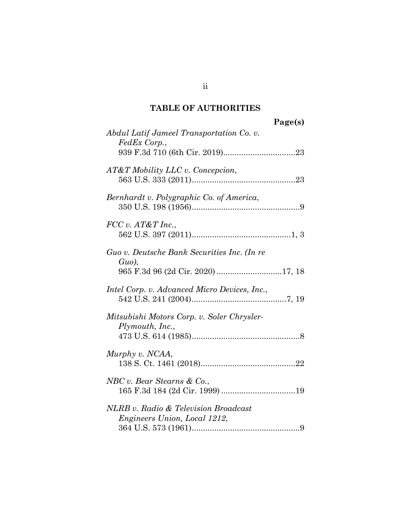## **TABLE OF AUTHORITIES**

| Page(s)                                                                                      |  |
|----------------------------------------------------------------------------------------------|--|
| Abdul Latif Jameel Transportation Co. v.<br>FedEx Corp.,                                     |  |
| AT&T Mobility LLC v. Concepcion,                                                             |  |
| Bernhardt v. Polygraphic Co. of America,                                                     |  |
| FCC v. AT&T Inc.,                                                                            |  |
| Guo v. Deutsche Bank Securities Inc. (In re<br>$Guo$ ),<br>965 F.3d 96 (2d Cir. 2020) 17, 18 |  |
| Intel Corp. v. Advanced Micro Devices, Inc.,                                                 |  |
| Mitsubishi Motors Corp. v. Soler Chrysler-<br>Plymouth, Inc.,                                |  |
| Murphy v. NCAA,                                                                              |  |
| NBC v. Bear Stearns & Co.,                                                                   |  |
| NLRB v. Radio & Television Broadcast<br><i>Engineers Union, Local 1212,</i>                  |  |

ii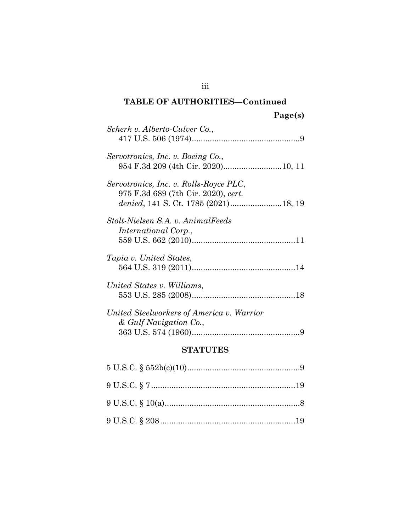## **TABLE OF AUTHORITIES—Continued**

| Scherk v. Alberto-Culver Co.,                                                 |
|-------------------------------------------------------------------------------|
| Servotronics, Inc. v. Boeing Co.,                                             |
| Servotronics, Inc. v. Rolls-Royce PLC,<br>975 F.3d 689 (7th Cir. 2020), cert. |
| Stolt-Nielsen S.A. v. AnimalFeeds<br><i>International Corp.,</i>              |
| Tapia v. United States,                                                       |
| United States v. Williams,                                                    |
| United Steelworkers of America v. Warrior<br>& Gulf Navigation Co.,           |

## **STATUTES**

iii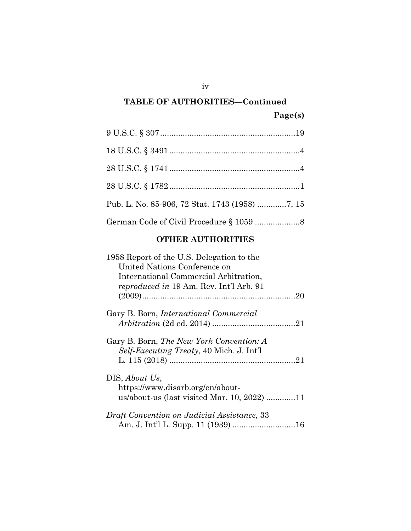# **TABLE OF AUTHORITIES—Continued Page(s)**

## **OTHER AUTHORITIES**

| 1958 Report of the U.S. Delegation to the       |  |  |
|-------------------------------------------------|--|--|
| United Nations Conference on                    |  |  |
| International Commercial Arbitration,           |  |  |
| <i>reproduced in</i> 19 Am. Rev. Int'l Arb. 91  |  |  |
|                                                 |  |  |
| Gary B. Born, <i>International Commercial</i>   |  |  |
|                                                 |  |  |
| Gary B. Born, <i>The New York Convention: A</i> |  |  |
| <i>Self-Executing Treaty, 40 Mich. J. Int'l</i> |  |  |
|                                                 |  |  |
| DIS, About Us,                                  |  |  |
| https://www.disarb.org/en/about-                |  |  |
| us/about-us (last visited Mar. 10, 2022) 11     |  |  |
| Draft Convention on Judicial Assistance, 33     |  |  |
|                                                 |  |  |

iv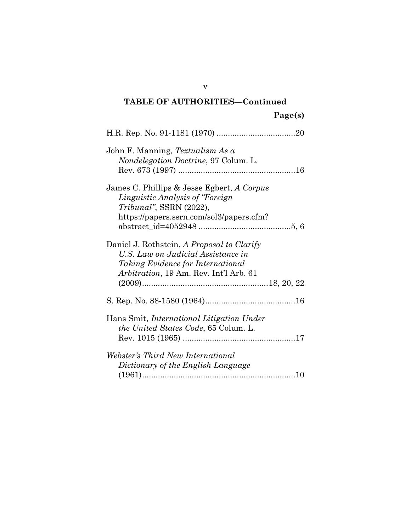# **TABLE OF AUTHORITIES—Continued Page(s)**

| John F. Manning, Textualism As a<br>Nondelegation Doctrine, 97 Colum. L.                                                                                                       |
|--------------------------------------------------------------------------------------------------------------------------------------------------------------------------------|
| James C. Phillips & Jesse Egbert, A Corpus<br>Linguistic Analysis of "Foreign<br>Tribunal", SSRN (2022),<br>https://papers.ssrn.com/sol3/papers.cfm?                           |
| Daniel J. Rothstein, A Proposal to Clarify<br>U.S. Law on Judicial Assistance in<br><i>Taking Evidence for International</i><br><i>Arbitration</i> , 19 Am. Rev. Int'l Arb. 61 |
|                                                                                                                                                                                |
| Hans Smit, International Litigation Under<br><i>the United States Code, 65 Colum. L.</i>                                                                                       |
| Webster's Third New International<br>Dictionary of the English Language                                                                                                        |

v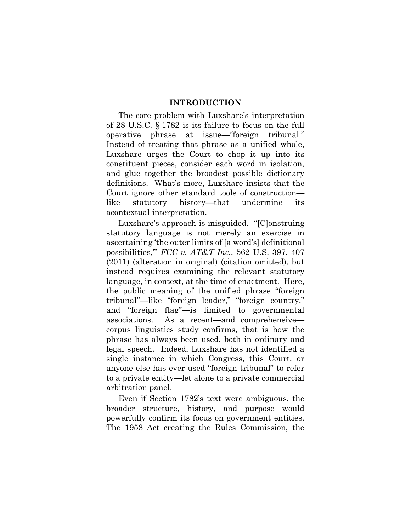#### **INTRODUCTION**

The core problem with Luxshare's interpretation of 28 U.S.C. § 1782 is its failure to focus on the full operative phrase at issue—"foreign tribunal." Instead of treating that phrase as a unified whole, Luxshare urges the Court to chop it up into its constituent pieces, consider each word in isolation, and glue together the broadest possible dictionary definitions. What's more, Luxshare insists that the Court ignore other standard tools of construction like statutory history—that undermine its acontextual interpretation.

Luxshare's approach is misguided. "[C]onstruing statutory language is not merely an exercise in ascertaining 'the outer limits of [a word's] definitional possibilities,'" *FCC v. AT&T Inc.*, 562 U.S. 397, 407 (2011) (alteration in original) (citation omitted), but instead requires examining the relevant statutory language, in context, at the time of enactment. Here, the public meaning of the unified phrase "foreign tribunal"—like "foreign leader," "foreign country," and "foreign flag"—is limited to governmental associations. As a recent—and comprehensive corpus linguistics study confirms, that is how the phrase has always been used, both in ordinary and legal speech. Indeed, Luxshare has not identified a single instance in which Congress, this Court, or anyone else has ever used "foreign tribunal" to refer to a private entity—let alone to a private commercial arbitration panel.

Even if Section 1782's text were ambiguous, the broader structure, history, and purpose would powerfully confirm its focus on government entities. The 1958 Act creating the Rules Commission, the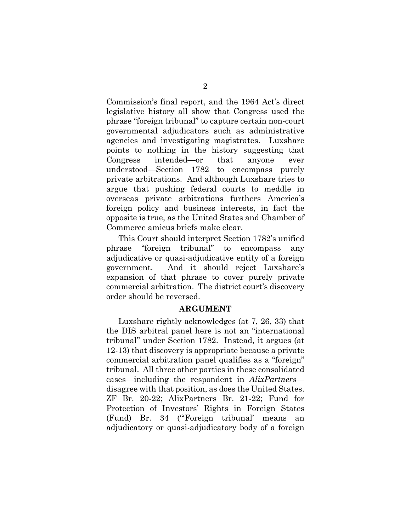Commission's final report, and the 1964 Act's direct legislative history all show that Congress used the phrase "foreign tribunal" to capture certain non-court governmental adjudicators such as administrative agencies and investigating magistrates. Luxshare points to nothing in the history suggesting that Congress intended—or that anyone ever understood—Section 1782 to encompass purely private arbitrations. And although Luxshare tries to argue that pushing federal courts to meddle in overseas private arbitrations furthers America's foreign policy and business interests, in fact the opposite is true, as the United States and Chamber of Commerce amicus briefs make clear.

This Court should interpret Section 1782's unified phrase "foreign tribunal" to encompass any adjudicative or quasi-adjudicative entity of a foreign government. And it should reject Luxshare's expansion of that phrase to cover purely private commercial arbitration. The district court's discovery order should be reversed.

#### **ARGUMENT**

Luxshare rightly acknowledges (at 7, 26, 33) that the DIS arbitral panel here is not an "international tribunal" under Section 1782. Instead, it argues (at 12-13) that discovery is appropriate because a private commercial arbitration panel qualifies as a "foreign" tribunal. All three other parties in these consolidated cases—including the respondent in *AlixPartners* disagree with that position, as does the United States. ZF Br. 20-22; AlixPartners Br. 21-22; Fund for Protection of Investors' Rights in Foreign States (Fund) Br. 34 ("'Foreign tribunal' means an adjudicatory or quasi-adjudicatory body of a foreign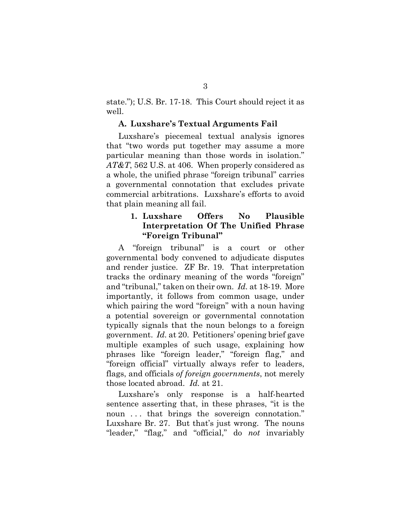state."); U.S. Br. 17-18. This Court should reject it as well.

#### **A. Luxshare's Textual Arguments Fail**

Luxshare's piecemeal textual analysis ignores that "two words put together may assume a more particular meaning than those words in isolation." *AT&T*, 562 U.S. at 406. When properly considered as a whole, the unified phrase "foreign tribunal" carries a governmental connotation that excludes private commercial arbitrations. Luxshare's efforts to avoid that plain meaning all fail.

## **1. Luxshare Offers No Plausible Interpretation Of The Unified Phrase "Foreign Tribunal"**

A "foreign tribunal" is a court or other governmental body convened to adjudicate disputes and render justice. ZF Br. 19. That interpretation tracks the ordinary meaning of the words "foreign" and "tribunal," taken on their own. *Id.* at 18-19. More importantly, it follows from common usage, under which pairing the word "foreign" with a noun having a potential sovereign or governmental connotation typically signals that the noun belongs to a foreign government. *Id.* at 20. Petitioners' opening brief gave multiple examples of such usage, explaining how phrases like "foreign leader," "foreign flag," and "foreign official" virtually always refer to leaders, flags, and officials *of foreign governments*, not merely those located abroad. *Id.* at 21.

Luxshare's only response is a half-hearted sentence asserting that, in these phrases, "it is the noun ... that brings the sovereign connotation." Luxshare Br. 27. But that's just wrong. The nouns "leader," "flag," and "official," do *not* invariably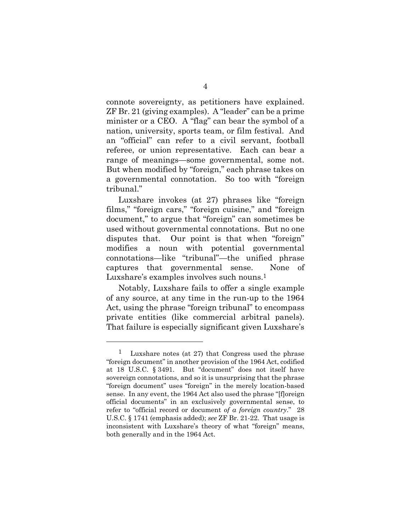connote sovereignty, as petitioners have explained. ZF Br. 21 (giving examples). A "leader" can be a prime minister or a CEO. A "flag" can bear the symbol of a nation, university, sports team, or film festival. And an "official" can refer to a civil servant, football referee, or union representative. Each can bear a range of meanings—some governmental, some not. But when modified by "foreign," each phrase takes on a governmental connotation. So too with "foreign tribunal."

Luxshare invokes (at 27) phrases like "foreign films," "foreign cars," "foreign cuisine," and "foreign document," to argue that "foreign" can sometimes be used without governmental connotations. But no one disputes that. Our point is that when "foreign" modifies a noun with potential governmental connotations—like "tribunal"—the unified phrase captures that governmental sense. None of Luxshare's examples involves such nouns.<sup>1</sup>

Notably, Luxshare fails to offer a single example of any source, at any time in the run-up to the 1964 Act, using the phrase "foreign tribunal" to encompass private entities (like commercial arbitral panels). That failure is especially significant given Luxshare's

l

<sup>1</sup> Luxshare notes (at 27) that Congress used the phrase "foreign document" in another provision of the 1964 Act, codified at 18 U.S.C. § 3491. But "document" does not itself have sovereign connotations, and so it is unsurprising that the phrase "foreign document" uses "foreign" in the merely location-based sense. In any event, the 1964 Act also used the phrase "[f]oreign official documents" in an exclusively governmental sense, to refer to "official record or document *of a foreign country*." 28 U.S.C. § 1741 (emphasis added); *see* ZF Br. 21-22. That usage is inconsistent with Luxshare's theory of what "foreign" means, both generally and in the 1964 Act.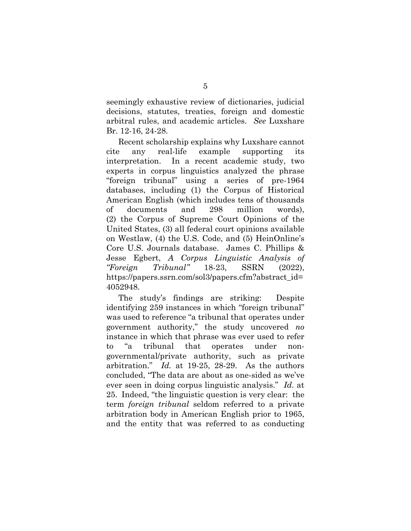seemingly exhaustive review of dictionaries, judicial decisions, statutes, treaties, foreign and domestic arbitral rules, and academic articles. *See* Luxshare Br. 12-16, 24-28.

Recent scholarship explains why Luxshare cannot cite any real-life example supporting its interpretation. In a recent academic study, two experts in corpus linguistics analyzed the phrase "foreign tribunal" using a series of pre-1964 databases, including (1) the Corpus of Historical American English (which includes tens of thousands of documents and 298 million words), (2) the Corpus of Supreme Court Opinions of the United States, (3) all federal court opinions available on Westlaw, (4) the U.S. Code, and (5) HeinOnline's Core U.S. Journals database. James C. Phillips & Jesse Egbert, *A Corpus Linguistic Analysis of "Foreign Tribunal"* 18-23, SSRN (2022), https://papers.ssrn.com/sol3/papers.cfm?abstract\_id= 4052948.

The study's findings are striking: Despite identifying 259 instances in which "foreign tribunal" was used to reference "a tribunal that operates under government authority," the study uncovered *no* instance in which that phrase was ever used to refer to "a tribunal that operates under nongovernmental/private authority, such as private arbitration." *Id.* at 19-25, 28-29. As the authors concluded, "The data are about as one-sided as we've ever seen in doing corpus linguistic analysis." *Id.* at 25. Indeed, "the linguistic question is very clear: the term *foreign tribunal* seldom referred to a private arbitration body in American English prior to 1965, and the entity that was referred to as conducting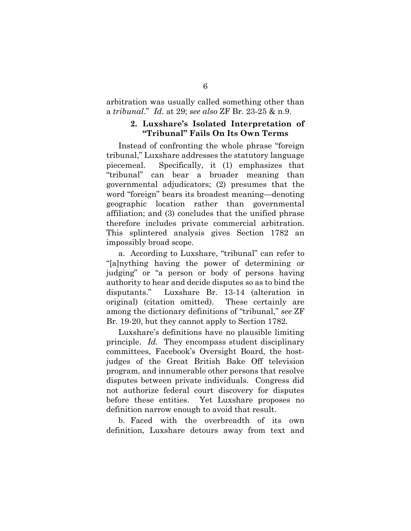arbitration was usually called something other than a *tribunal*." *Id.* at 29; *see also* ZF Br. 23-25 & n.9.

#### **2. Luxshare's Isolated Interpretation of "Tribunal" Fails On Its Own Terms**

Instead of confronting the whole phrase "foreign tribunal," Luxshare addresses the statutory language piecemeal. Specifically, it (1) emphasizes that "tribunal" can bear a broader meaning than governmental adjudicators; (2) presumes that the word "foreign" bears its broadest meaning—denoting geographic location rather than governmental affiliation; and (3) concludes that the unified phrase therefore includes private commercial arbitration. This splintered analysis gives Section 1782 an impossibly broad scope.

a. According to Luxshare, "tribunal" can refer to "[a]nything having the power of determining or judging" or "a person or body of persons having authority to hear and decide disputes so as to bind the disputants." Luxshare Br. 13-14 (alteration in original) (citation omitted). These certainly are among the dictionary definitions of "tribunal," *see* ZF Br. 19-20, but they cannot apply to Section 1782.

Luxshare's definitions have no plausible limiting principle. *Id.* They encompass student disciplinary committees, Facebook's Oversight Board, the hostjudges of the Great British Bake Off television program, and innumerable other persons that resolve disputes between private individuals. Congress did not authorize federal court discovery for disputes before these entities. Yet Luxshare proposes no definition narrow enough to avoid that result.

b. Faced with the overbreadth of its own definition, Luxshare detours away from text and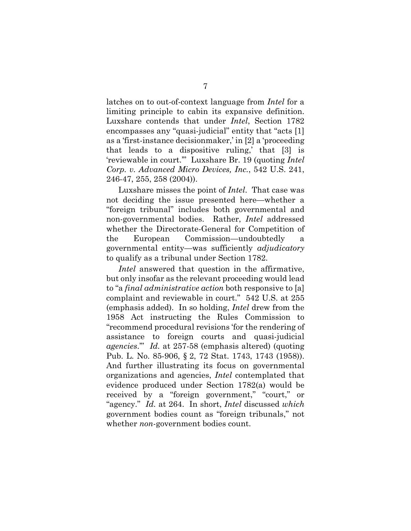latches on to out-of-context language from *Intel* for a limiting principle to cabin its expansive definition. Luxshare contends that under *Intel*, Section 1782 encompasses any "quasi-judicial" entity that "acts [1] as a 'first-instance decisionmaker,' in [2] a 'proceeding that leads to a dispositive ruling,' that [3] is 'reviewable in court.'" Luxshare Br. 19 (quoting *Intel Corp. v. Advanced Micro Devices, Inc.*, 542 U.S. 241, 246-47, 255, 258 (2004)).

Luxshare misses the point of *Intel*. That case was not deciding the issue presented here—whether a "foreign tribunal" includes both governmental and non-governmental bodies. Rather, *Intel* addressed whether the Directorate-General for Competition of the European Commission—undoubtedly a governmental entity—was sufficiently *adjudicatory* to qualify as a tribunal under Section 1782.

*Intel* answered that question in the affirmative, but only insofar as the relevant proceeding would lead to "a *final administrative action* both responsive to [a] complaint and reviewable in court." 542 U.S. at 255 (emphasis added). In so holding, *Intel* drew from the 1958 Act instructing the Rules Commission to "recommend procedural revisions 'for the rendering of assistance to foreign courts and quasi-judicial *agencies*.'" *Id.* at 257-58 (emphasis altered) (quoting Pub. L. No. 85-906, § 2, 72 Stat. 1743, 1743 (1958)). And further illustrating its focus on governmental organizations and agencies, *Intel* contemplated that evidence produced under Section 1782(a) would be received by a "foreign government," "court," or "agency." *Id.* at 264. In short, *Intel* discussed *which*  government bodies count as "foreign tribunals," not whether *non*-government bodies count.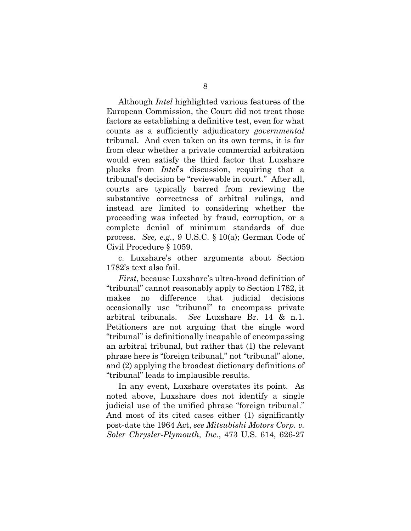Although *Intel* highlighted various features of the European Commission, the Court did not treat those factors as establishing a definitive test, even for what counts as a sufficiently adjudicatory *governmental* tribunal. And even taken on its own terms, it is far from clear whether a private commercial arbitration would even satisfy the third factor that Luxshare plucks from *Intel*'s discussion, requiring that a tribunal's decision be "reviewable in court." After all, courts are typically barred from reviewing the substantive correctness of arbitral rulings, and instead are limited to considering whether the proceeding was infected by fraud, corruption, or a complete denial of minimum standards of due process. *See, e.g.*, 9 U.S.C. § 10(a); German Code of Civil Procedure § 1059.

c. Luxshare's other arguments about Section 1782's text also fail.

*First*, because Luxshare's ultra-broad definition of "tribunal" cannot reasonably apply to Section 1782, it makes no difference that judicial decisions occasionally use "tribunal" to encompass private arbitral tribunals. *See* Luxshare Br. 14 & n.1. Petitioners are not arguing that the single word "tribunal" is definitionally incapable of encompassing an arbitral tribunal, but rather that (1) the relevant phrase here is "foreign tribunal," not "tribunal" alone, and (2) applying the broadest dictionary definitions of "tribunal" leads to implausible results.

In any event, Luxshare overstates its point. As noted above, Luxshare does not identify a single judicial use of the unified phrase "foreign tribunal." And most of its cited cases either (1) significantly post-date the 1964 Act, *see Mitsubishi Motors Corp. v. Soler Chrysler-Plymouth, Inc.*, 473 U.S. 614, 626-27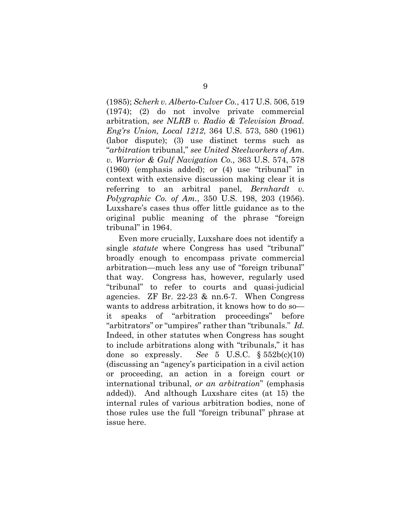(1985); *Scherk v. Alberto-Culver Co.*, 417 U.S. 506, 519 (1974); (2) do not involve private commercial arbitration, *see NLRB v. Radio & Television Broad. Eng'rs Union, Local 1212*, 364 U.S. 573, 580 (1961) (labor dispute); (3) use distinct terms such as "*arbitration* tribunal," *see United Steelworkers of Am. v. Warrior & Gulf Navigation Co.*, 363 U.S. 574, 578 (1960) (emphasis added); or (4) use "tribunal" in context with extensive discussion making clear it is referring to an arbitral panel, *Bernhardt v. Polygraphic Co. of Am.*, 350 U.S. 198, 203 (1956). Luxshare's cases thus offer little guidance as to the original public meaning of the phrase "foreign tribunal" in 1964.

Even more crucially, Luxshare does not identify a single *statute* where Congress has used "tribunal" broadly enough to encompass private commercial arbitration—much less any use of "foreign tribunal" that way. Congress has, however, regularly used "tribunal" to refer to courts and quasi-judicial agencies. ZF Br. 22-23 & nn.6-7. When Congress wants to address arbitration, it knows how to do so it speaks of "arbitration proceedings" before "arbitrators" or "umpires" rather than "tribunals." *Id.* Indeed, in other statutes when Congress has sought to include arbitrations along with "tribunals," it has done so expressly. *See* 5 U.S.C. § 552b(c)(10) (discussing an "agency's participation in a civil action or proceeding, an action in a foreign court or international tribunal, *or an arbitration*" (emphasis added)). And although Luxshare cites (at 15) the internal rules of various arbitration bodies, none of those rules use the full "foreign tribunal" phrase at issue here.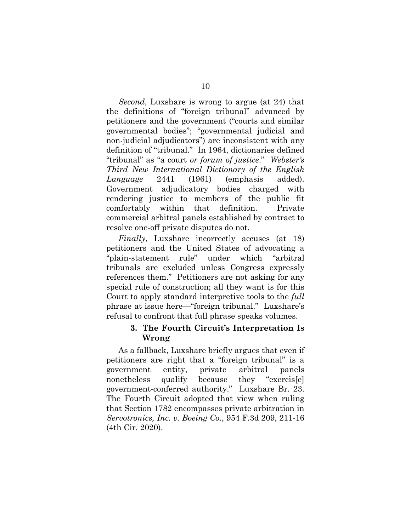*Second*, Luxshare is wrong to argue (at 24) that the definitions of "foreign tribunal" advanced by petitioners and the government ("courts and similar governmental bodies"; "governmental judicial and non-judicial adjudicators") are inconsistent with any definition of "tribunal." In 1964, dictionaries defined "tribunal" as "a court *or forum of justice*." *Webster's Third New International Dictionary of the English Language* 2441 (1961) (emphasis added). Government adjudicatory bodies charged with rendering justice to members of the public fit comfortably within that definition. Private commercial arbitral panels established by contract to resolve one-off private disputes do not.

*Finally*, Luxshare incorrectly accuses (at 18) petitioners and the United States of advocating a "plain-statement rule" under which "arbitral tribunals are excluded unless Congress expressly references them." Petitioners are not asking for any special rule of construction; all they want is for this Court to apply standard interpretive tools to the *full* phrase at issue here—"foreign tribunal." Luxshare's refusal to confront that full phrase speaks volumes.

### **3. The Fourth Circuit's Interpretation Is Wrong**

As a fallback, Luxshare briefly argues that even if petitioners are right that a "foreign tribunal" is a government entity, private arbitral panels nonetheless qualify because they "exercis[e] government-conferred authority." Luxshare Br. 23. The Fourth Circuit adopted that view when ruling that Section 1782 encompasses private arbitration in *Servotronics, Inc. v. Boeing Co.*, 954 F.3d 209, 211-16 (4th Cir. 2020).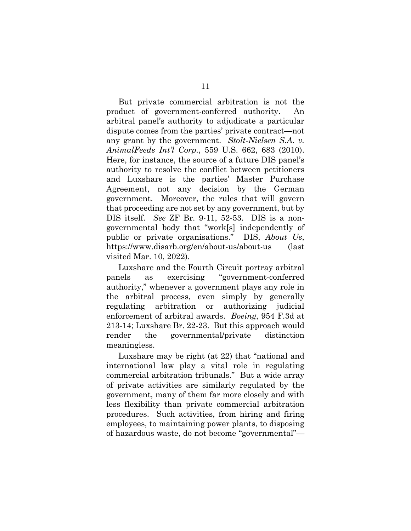But private commercial arbitration is not the product of government-conferred authority. An arbitral panel's authority to adjudicate a particular dispute comes from the parties' private contract—not any grant by the government. *Stolt-Nielsen S.A. v. AnimalFeeds Int'l Corp.*, 559 U.S. 662, 683 (2010). Here, for instance, the source of a future DIS panel's authority to resolve the conflict between petitioners and Luxshare is the parties' Master Purchase Agreement, not any decision by the German government. Moreover, the rules that will govern that proceeding are not set by any government, but by DIS itself. *See* ZF Br. 9-11, 52-53. DIS is a nongovernmental body that "work[s] independently of public or private organisations." DIS, *About Us*, https://www.disarb.org/en/about-us/about-us (last visited Mar. 10, 2022).

Luxshare and the Fourth Circuit portray arbitral panels as exercising "government-conferred authority," whenever a government plays any role in the arbitral process, even simply by generally regulating arbitration or authorizing judicial enforcement of arbitral awards. *Boeing*, 954 F.3d at 213-14; Luxshare Br. 22-23. But this approach would render the governmental/private distinction meaningless.

Luxshare may be right (at 22) that "national and international law play a vital role in regulating commercial arbitration tribunals." But a wide array of private activities are similarly regulated by the government, many of them far more closely and with less flexibility than private commercial arbitration procedures. Such activities, from hiring and firing employees, to maintaining power plants, to disposing of hazardous waste, do not become "governmental"—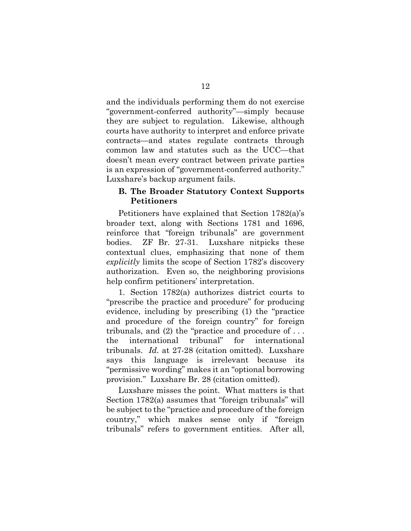and the individuals performing them do not exercise "government-conferred authority"—simply because they are subject to regulation. Likewise, although courts have authority to interpret and enforce private contracts—and states regulate contracts through common law and statutes such as the UCC—that doesn't mean every contract between private parties is an expression of "government-conferred authority." Luxshare's backup argument fails.

## **B. The Broader Statutory Context Supports Petitioners**

Petitioners have explained that Section 1782(a)'s broader text, along with Sections 1781 and 1696, reinforce that "foreign tribunals" are government bodies. ZF Br. 27-31. Luxshare nitpicks these contextual clues, emphasizing that none of them *explicitly* limits the scope of Section 1782's discovery authorization. Even so, the neighboring provisions help confirm petitioners' interpretation.

1. Section 1782(a) authorizes district courts to "prescribe the practice and procedure" for producing evidence, including by prescribing (1) the "practice and procedure of the foreign country" for foreign tribunals, and (2) the "practice and procedure of . . . the international tribunal" for international tribunals. *Id.* at 27-28 (citation omitted). Luxshare says this language is irrelevant because its "permissive wording" makes it an "optional borrowing provision." Luxshare Br. 28 (citation omitted).

Luxshare misses the point. What matters is that Section 1782(a) assumes that "foreign tribunals" will be subject to the "practice and procedure of the foreign country," which makes sense only if "foreign tribunals" refers to government entities. After all,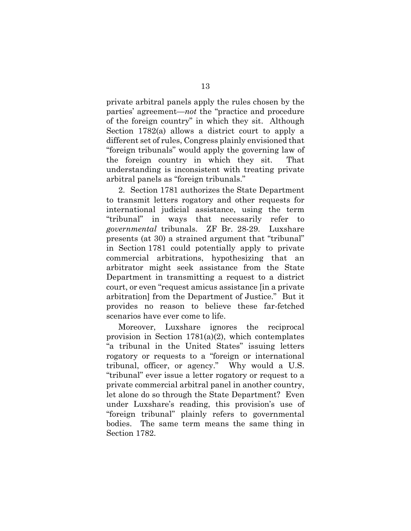private arbitral panels apply the rules chosen by the parties' agreement—*not* the "practice and procedure of the foreign country" in which they sit. Although Section 1782(a) allows a district court to apply a different set of rules, Congress plainly envisioned that "foreign tribunals" would apply the governing law of the foreign country in which they sit. That understanding is inconsistent with treating private arbitral panels as "foreign tribunals."

2. Section 1781 authorizes the State Department to transmit letters rogatory and other requests for international judicial assistance, using the term "tribunal" in ways that necessarily refer to *governmental* tribunals. ZF Br. 28-29. Luxshare presents (at 30) a strained argument that "tribunal" in Section 1781 could potentially apply to private commercial arbitrations, hypothesizing that an arbitrator might seek assistance from the State Department in transmitting a request to a district court, or even "request amicus assistance [in a private arbitration] from the Department of Justice." But it provides no reason to believe these far-fetched scenarios have ever come to life.

Moreover, Luxshare ignores the reciprocal provision in Section  $1781(a)(2)$ , which contemplates "a tribunal in the United States" issuing letters rogatory or requests to a "foreign or international tribunal, officer, or agency." Why would a U.S. "tribunal" ever issue a letter rogatory or request to a private commercial arbitral panel in another country, let alone do so through the State Department? Even under Luxshare's reading, this provision's use of "foreign tribunal" plainly refers to governmental bodies. The same term means the same thing in Section 1782.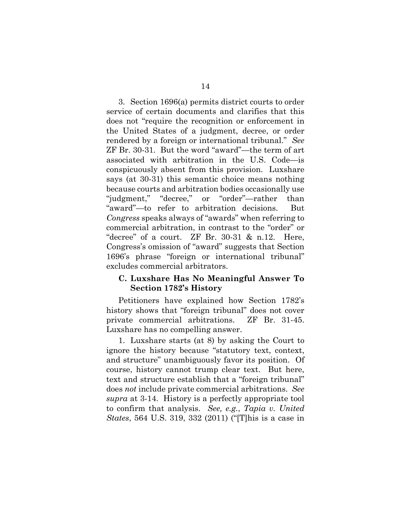3. Section 1696(a) permits district courts to order service of certain documents and clarifies that this does not "require the recognition or enforcement in the United States of a judgment, decree, or order rendered by a foreign or international tribunal." *See* ZF Br. 30-31. But the word "award"—the term of art associated with arbitration in the U.S. Code—is conspicuously absent from this provision. Luxshare says (at 30-31) this semantic choice means nothing because courts and arbitration bodies occasionally use "judgment," "decree," or "order"—rather than "award"—to refer to arbitration decisions. But *Congress* speaks always of "awards" when referring to commercial arbitration, in contrast to the "order" or "decree" of a court. ZF Br. 30-31 & n.12. Here, Congress's omission of "award" suggests that Section 1696's phrase "foreign or international tribunal" excludes commercial arbitrators.

### **C. Luxshare Has No Meaningful Answer To Section 1782's History**

Petitioners have explained how Section 1782's history shows that "foreign tribunal" does not cover private commercial arbitrations. ZF Br. 31-45. Luxshare has no compelling answer.

1. Luxshare starts (at 8) by asking the Court to ignore the history because "statutory text, context, and structure" unambiguously favor its position. Of course, history cannot trump clear text. But here, text and structure establish that a "foreign tribunal" does *not* include private commercial arbitrations. *See supra* at 3-14. History is a perfectly appropriate tool to confirm that analysis. *See, e.g.*, *Tapia v. United States*, 564 U.S. 319, 332 (2011) ("[T]his is a case in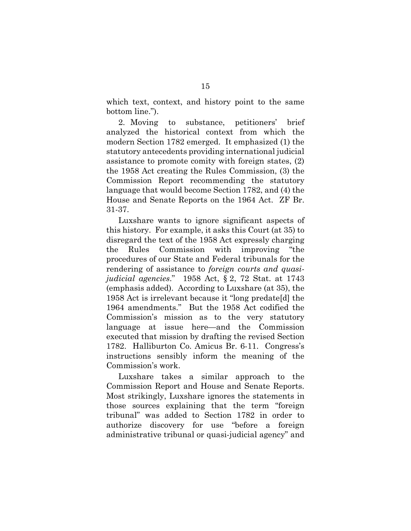which text, context, and history point to the same bottom line.").

2. Moving to substance, petitioners' brief analyzed the historical context from which the modern Section 1782 emerged. It emphasized (1) the statutory antecedents providing international judicial assistance to promote comity with foreign states, (2) the 1958 Act creating the Rules Commission, (3) the Commission Report recommending the statutory language that would become Section 1782, and (4) the House and Senate Reports on the 1964 Act. ZF Br. 31-37.

Luxshare wants to ignore significant aspects of this history. For example, it asks this Court (at 35) to disregard the text of the 1958 Act expressly charging the Rules Commission with improving "the procedures of our State and Federal tribunals for the rendering of assistance to *foreign courts and quasijudicial agencies*." 1958 Act, § 2, 72 Stat. at 1743 (emphasis added). According to Luxshare (at 35), the 1958 Act is irrelevant because it "long predate[d] the 1964 amendments." But the 1958 Act codified the Commission's mission as to the very statutory language at issue here—and the Commission executed that mission by drafting the revised Section 1782. Halliburton Co. Amicus Br. 6-11. Congress's instructions sensibly inform the meaning of the Commission's work.

Luxshare takes a similar approach to the Commission Report and House and Senate Reports. Most strikingly, Luxshare ignores the statements in those sources explaining that the term "foreign tribunal" was added to Section 1782 in order to authorize discovery for use "before a foreign administrative tribunal or quasi-judicial agency" and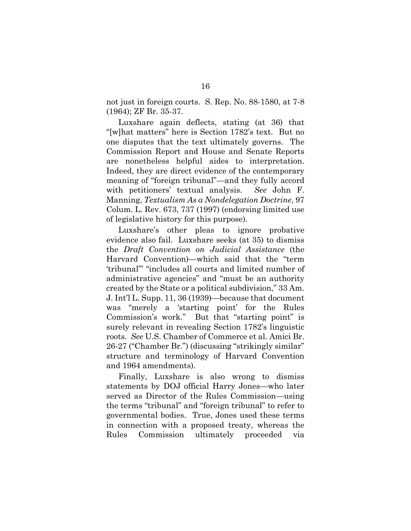not just in foreign courts. S. Rep. No. 88-1580, at 7-8 (1964); ZF Br. 35-37.

Luxshare again deflects, stating (at 36) that "[w]hat matters" here is Section 1782's text. But no one disputes that the text ultimately governs. The Commission Report and House and Senate Reports are nonetheless helpful aides to interpretation. Indeed, they are direct evidence of the contemporary meaning of "foreign tribunal"—and they fully accord with petitioners' textual analysis. *See* John F. Manning, *Textualism As a Nondelegation Doctrine*, 97 Colum. L. Rev. 673, 737 (1997) (endorsing limited use of legislative history for this purpose).

Luxshare's other pleas to ignore probative evidence also fail. Luxshare seeks (at 35) to dismiss the *Draft Convention on Judicial Assistance* (the Harvard Convention)—which said that the "term 'tribunal'" "includes all courts and limited number of administrative agencies" and "must be an authority created by the State or a political subdivision," 33 Am. J. Int'l L. Supp. 11, 36 (1939)—because that document was "merely a 'starting point' for the Rules Commission's work." But that "starting point" is surely relevant in revealing Section 1782's linguistic roots. *See* U.S. Chamber of Commerce et al. Amici Br. 26-27 ("Chamber Br.") (discussing "strikingly similar" structure and terminology of Harvard Convention and 1964 amendments).

Finally, Luxshare is also wrong to dismiss statements by DOJ official Harry Jones—who later served as Director of the Rules Commission—using the terms "tribunal" and "foreign tribunal" to refer to governmental bodies. True, Jones used these terms in connection with a proposed treaty, whereas the Rules Commission ultimately proceeded via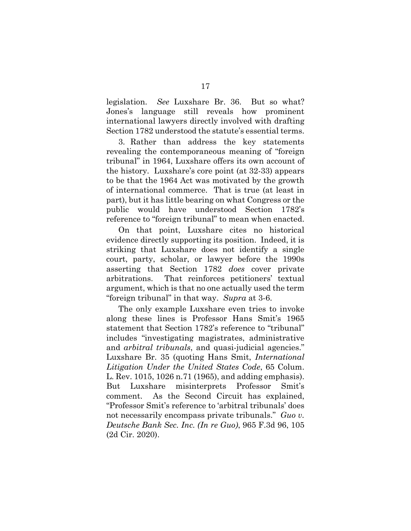legislation. *See* Luxshare Br. 36. But so what? Jones's language still reveals how prominent international lawyers directly involved with drafting Section 1782 understood the statute's essential terms.

3. Rather than address the key statements revealing the contemporaneous meaning of "foreign tribunal" in 1964, Luxshare offers its own account of the history. Luxshare's core point (at 32-33) appears to be that the 1964 Act was motivated by the growth of international commerce. That is true (at least in part), but it has little bearing on what Congress or the public would have understood Section 1782's reference to "foreign tribunal" to mean when enacted.

On that point, Luxshare cites no historical evidence directly supporting its position. Indeed, it is striking that Luxshare does not identify a single court, party, scholar, or lawyer before the 1990s asserting that Section 1782 *does* cover private arbitrations. That reinforces petitioners' textual argument, which is that no one actually used the term "foreign tribunal" in that way. *Supra* at 3-6.

The only example Luxshare even tries to invoke along these lines is Professor Hans Smit's 1965 statement that Section 1782's reference to "tribunal" includes "investigating magistrates, administrative and *arbitral tribunals*, and quasi-judicial agencies." Luxshare Br. 35 (quoting Hans Smit, *International Litigation Under the United States Code*, 65 Colum. L. Rev. 1015, 1026 n.71 (1965), and adding emphasis). But Luxshare misinterprets Professor Smit's comment. As the Second Circuit has explained, "Professor Smit's reference to 'arbitral tribunals' does not necessarily encompass private tribunals." *Guo v. Deutsche Bank Sec. Inc. (In re Guo)*, 965 F.3d 96, 105 (2d Cir. 2020).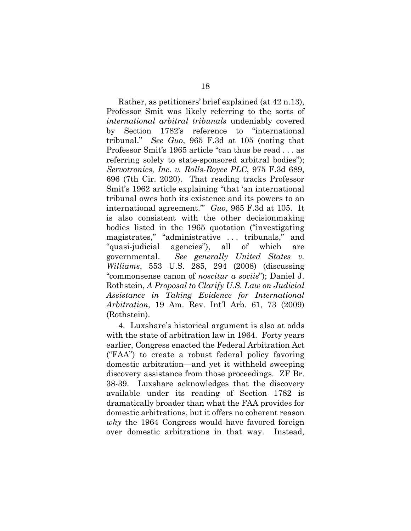Rather, as petitioners' brief explained (at 42 n.13), Professor Smit was likely referring to the sorts of *international arbitral tribunals* undeniably covered by Section 1782's reference to "international tribunal." *See Guo*, 965 F.3d at 105 (noting that Professor Smit's 1965 article "can thus be read . . . as referring solely to state-sponsored arbitral bodies"); *Servotronics, Inc. v. Rolls-Royce PLC*, 975 F.3d 689, 696 (7th Cir. 2020). That reading tracks Professor Smit's 1962 article explaining "that 'an international tribunal owes both its existence and its powers to an international agreement.'" *Guo*, 965 F.3d at 105. It is also consistent with the other decisionmaking bodies listed in the 1965 quotation ("investigating magistrates," "administrative . . . tribunals," and "quasi-judicial agencies"), all of which are governmental. *See generally United States v. Williams*, 553 U.S. 285, 294 (2008) (discussing "commonsense canon of *noscitur a sociis*"); Daniel J. Rothstein, *A Proposal to Clarify U.S. Law on Judicial Assistance in Taking Evidence for International Arbitration*, 19 Am. Rev. Int'l Arb. 61, 73 (2009) (Rothstein).

4. Luxshare's historical argument is also at odds with the state of arbitration law in 1964. Forty years earlier, Congress enacted the Federal Arbitration Act ("FAA") to create a robust federal policy favoring domestic arbitration—and yet it withheld sweeping discovery assistance from those proceedings. ZF Br. 38-39. Luxshare acknowledges that the discovery available under its reading of Section 1782 is dramatically broader than what the FAA provides for domestic arbitrations, but it offers no coherent reason *why* the 1964 Congress would have favored foreign over domestic arbitrations in that way. Instead,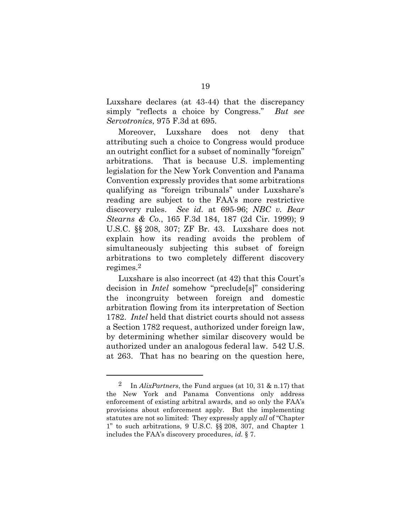Luxshare declares (at 43-44) that the discrepancy simply "reflects a choice by Congress." *But see Servotronics*, 975 F.3d at 695.

Moreover, Luxshare does not deny that attributing such a choice to Congress would produce an outright conflict for a subset of nominally "foreign" arbitrations. That is because U.S. implementing legislation for the New York Convention and Panama Convention expressly provides that some arbitrations qualifying as "foreign tribunals" under Luxshare's reading are subject to the FAA's more restrictive discovery rules. *See id.* at 695-96; *NBC v. Bear Stearns & Co.*, 165 F.3d 184, 187 (2d Cir. 1999); 9 U.S.C. §§ 208, 307; ZF Br. 43. Luxshare does not explain how its reading avoids the problem of simultaneously subjecting this subset of foreign arbitrations to two completely different discovery regimes.2

Luxshare is also incorrect (at 42) that this Court's decision in *Intel* somehow "preclude[s]" considering the incongruity between foreign and domestic arbitration flowing from its interpretation of Section 1782. *Intel* held that district courts should not assess a Section 1782 request, authorized under foreign law, by determining whether similar discovery would be authorized under an analogous federal law. 542 U.S. at 263. That has no bearing on the question here,

l

<sup>2</sup> In *AlixPartners*, the Fund argues (at 10, 31 & n.17) that the New York and Panama Conventions only address enforcement of existing arbitral awards, and so only the FAA's provisions about enforcement apply. But the implementing statutes are not so limited: They expressly apply *all* of "Chapter 1" to such arbitrations, 9 U.S.C. §§ 208, 307, and Chapter 1 includes the FAA's discovery procedures, *id.* § 7.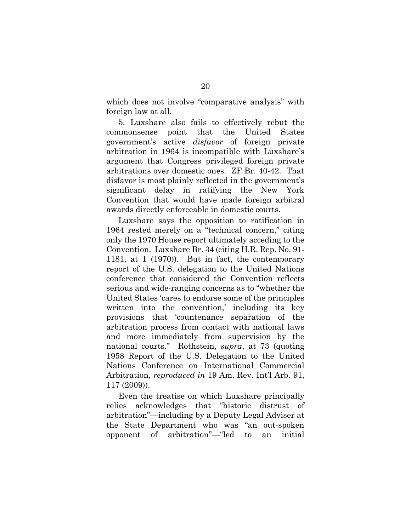which does not involve "comparative analysis" with foreign law at all.

5. Luxshare also fails to effectively rebut the commonsense point that the United States government's active *disfavor* of foreign private arbitration in 1964 is incompatible with Luxshare's argument that Congress privileged foreign private arbitrations over domestic ones. ZF Br. 40-42. That disfavor is most plainly reflected in the government's significant delay in ratifying the New York Convention that would have made foreign arbitral awards directly enforceable in domestic courts.

Luxshare says the opposition to ratification in 1964 rested merely on a "technical concern," citing only the 1970 House report ultimately acceding to the Convention. Luxshare Br. 34 (citing H.R. Rep. No. 91- 1181, at 1 (1970)). But in fact, the contemporary report of the U.S. delegation to the United Nations conference that considered the Convention reflects serious and wide-ranging concerns as to "whether the United States 'cares to endorse some of the principles written into the convention,' including its key provisions that 'countenance separation of the arbitration process from contact with national laws and more immediately from supervision by the national courts." Rothstein, *supra*, at 73 (quoting 1958 Report of the U.S. Delegation to the United Nations Conference on International Commercial Arbitration, *reproduced in* 19 Am. Rev. Int'l Arb. 91, 117 (2009)).

Even the treatise on which Luxshare principally relies acknowledges that "historic distrust of arbitration"—including by a Deputy Legal Adviser at the State Department who was "an out-spoken opponent of arbitration"—"led to an initial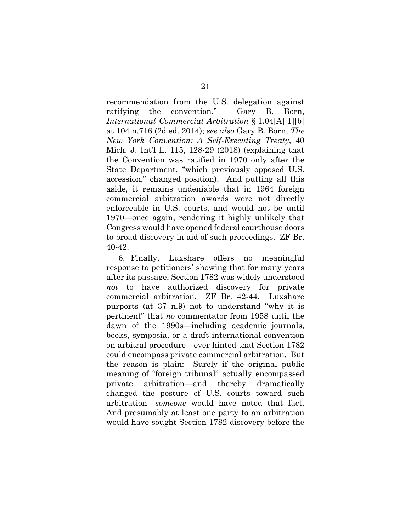recommendation from the U.S. delegation against ratifying the convention." Gary B. Born, *International Commercial Arbitration* § 1.04[A][1][b] at 104 n.716 (2d ed. 2014); *see also* Gary B. Born, *The New York Convention: A Self-Executing Treaty*, 40 Mich. J. Int'l L. 115, 128-29 (2018) (explaining that the Convention was ratified in 1970 only after the State Department, "which previously opposed U.S. accession," changed position). And putting all this aside, it remains undeniable that in 1964 foreign commercial arbitration awards were not directly enforceable in U.S. courts, and would not be until 1970—once again, rendering it highly unlikely that Congress would have opened federal courthouse doors to broad discovery in aid of such proceedings. ZF Br. 40-42.

6. Finally, Luxshare offers no meaningful response to petitioners' showing that for many years after its passage, Section 1782 was widely understood *not* to have authorized discovery for private commercial arbitration. ZF Br. 42-44. Luxshare purports (at 37 n.9) not to understand "why it is pertinent" that *no* commentator from 1958 until the dawn of the 1990s—including academic journals, books, symposia, or a draft international convention on arbitral procedure—ever hinted that Section 1782 could encompass private commercial arbitration. But the reason is plain: Surely if the original public meaning of "foreign tribunal" actually encompassed private arbitration—and thereby dramatically changed the posture of U.S. courts toward such arbitration—*someone* would have noted that fact. And presumably at least one party to an arbitration would have sought Section 1782 discovery before the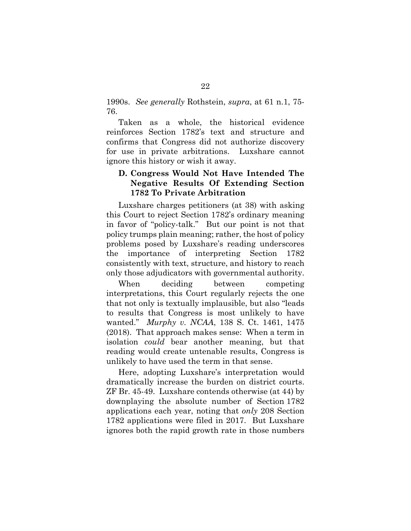1990s. *See generally* Rothstein, *supra*, at 61 n.1, 75- 76.

Taken as a whole, the historical evidence reinforces Section 1782's text and structure and confirms that Congress did not authorize discovery for use in private arbitrations. Luxshare cannot ignore this history or wish it away.

## **D. Congress Would Not Have Intended The Negative Results Of Extending Section 1782 To Private Arbitration**

Luxshare charges petitioners (at 38) with asking this Court to reject Section 1782's ordinary meaning in favor of "policy-talk." But our point is not that policy trumps plain meaning; rather, the host of policy problems posed by Luxshare's reading underscores the importance of interpreting Section 1782 consistently with text, structure, and history to reach only those adjudicators with governmental authority.

When deciding between competing interpretations, this Court regularly rejects the one that not only is textually implausible, but also "leads to results that Congress is most unlikely to have wanted." *Murphy v. NCAA*, 138 S. Ct. 1461, 1475 (2018). That approach makes sense: When a term in isolation *could* bear another meaning, but that reading would create untenable results, Congress is unlikely to have used the term in that sense.

Here, adopting Luxshare's interpretation would dramatically increase the burden on district courts. ZF Br. 45-49. Luxshare contends otherwise (at 44) by downplaying the absolute number of Section 1782 applications each year, noting that *only* 208 Section 1782 applications were filed in 2017. But Luxshare ignores both the rapid growth rate in those numbers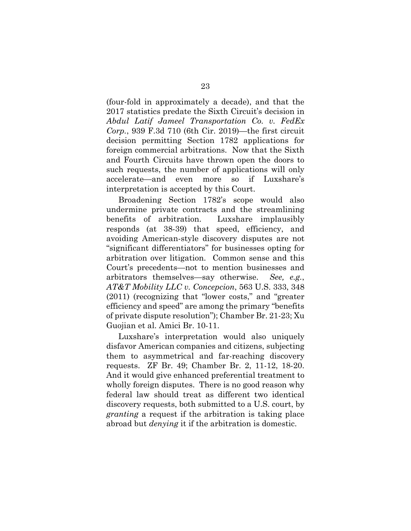(four-fold in approximately a decade), and that the 2017 statistics predate the Sixth Circuit's decision in *Abdul Latif Jameel Transportation Co. v. FedEx Corp.*, 939 F.3d 710 (6th Cir. 2019)—the first circuit decision permitting Section 1782 applications for foreign commercial arbitrations. Now that the Sixth and Fourth Circuits have thrown open the doors to such requests, the number of applications will only accelerate—and even more so if Luxshare's interpretation is accepted by this Court.

Broadening Section 1782's scope would also undermine private contracts and the streamlining benefits of arbitration. Luxshare implausibly responds (at 38-39) that speed, efficiency, and avoiding American-style discovery disputes are not "significant differentiators" for businesses opting for arbitration over litigation. Common sense and this Court's precedents—not to mention businesses and arbitrators themselves—say otherwise. *See, e.g.*, *AT&T Mobility LLC v. Concepcion*, 563 U.S. 333, 348 (2011) (recognizing that "lower costs," and "greater efficiency and speed" are among the primary "benefits of private dispute resolution"); Chamber Br. 21-23; Xu Guojian et al. Amici Br. 10-11.

Luxshare's interpretation would also uniquely disfavor American companies and citizens, subjecting them to asymmetrical and far-reaching discovery requests. ZF Br. 49; Chamber Br. 2, 11-12, 18-20. And it would give enhanced preferential treatment to wholly foreign disputes. There is no good reason why federal law should treat as different two identical discovery requests, both submitted to a U.S. court, by *granting* a request if the arbitration is taking place abroad but *denying* it if the arbitration is domestic.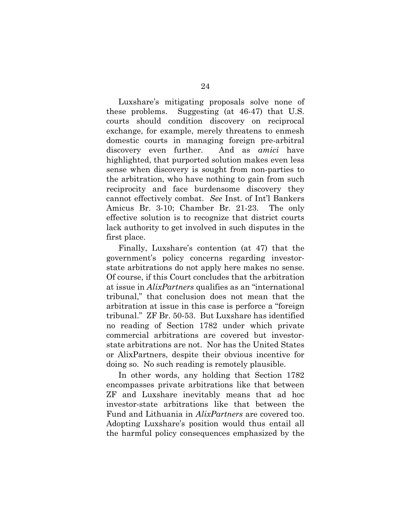Luxshare's mitigating proposals solve none of these problems. Suggesting (at 46-47) that U.S. courts should condition discovery on reciprocal exchange, for example, merely threatens to enmesh domestic courts in managing foreign pre-arbitral discovery even further. And as *amici* have highlighted, that purported solution makes even less sense when discovery is sought from non-parties to the arbitration, who have nothing to gain from such reciprocity and face burdensome discovery they cannot effectively combat. *See* Inst. of Int'l Bankers Amicus Br. 3-10; Chamber Br. 21-23. The only effective solution is to recognize that district courts lack authority to get involved in such disputes in the first place.

Finally, Luxshare's contention (at 47) that the government's policy concerns regarding investorstate arbitrations do not apply here makes no sense. Of course, if this Court concludes that the arbitration at issue in *AlixPartners* qualifies as an "international tribunal," that conclusion does not mean that the arbitration at issue in this case is perforce a "foreign tribunal." ZF Br. 50-53. But Luxshare has identified no reading of Section 1782 under which private commercial arbitrations are covered but investorstate arbitrations are not. Nor has the United States or AlixPartners, despite their obvious incentive for doing so. No such reading is remotely plausible.

In other words, any holding that Section 1782 encompasses private arbitrations like that between ZF and Luxshare inevitably means that ad hoc investor-state arbitrations like that between the Fund and Lithuania in *AlixPartners* are covered too. Adopting Luxshare's position would thus entail all the harmful policy consequences emphasized by the